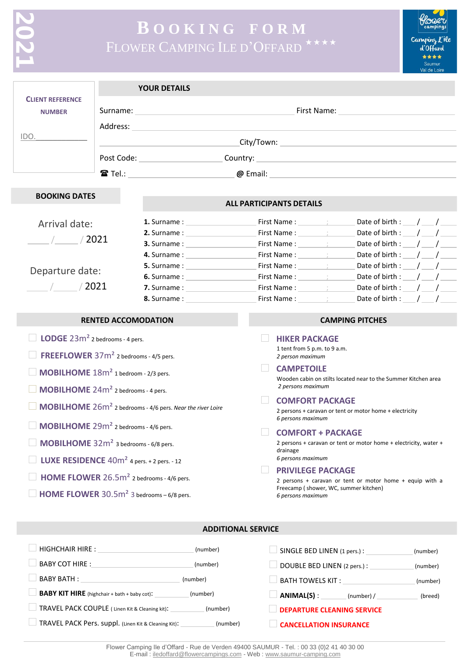# **B O O K I N G F O R M** FLOWER CAMPING ILE D'OFFARD

flower Camping L'île d'Offard \*\*\*\* Saumur in Lah le

|                                                                                                                            |                                                                                                                                                                                                                                            | <b>YOUR DETAILS</b>                                                                                                                                                                                                            |                                                                                                                                                    |          |  |
|----------------------------------------------------------------------------------------------------------------------------|--------------------------------------------------------------------------------------------------------------------------------------------------------------------------------------------------------------------------------------------|--------------------------------------------------------------------------------------------------------------------------------------------------------------------------------------------------------------------------------|----------------------------------------------------------------------------------------------------------------------------------------------------|----------|--|
| <b>CLIENT REFERENCE</b><br><b>NUMBER</b>                                                                                   | First Name: 1990 and 1990 and 1990 and 1990 and 1990 and 1990 and 1990 and 1990 and 1990 and 1990 and 1990 and                                                                                                                             |                                                                                                                                                                                                                                |                                                                                                                                                    |          |  |
|                                                                                                                            | Address:                                                                                                                                                                                                                                   |                                                                                                                                                                                                                                |                                                                                                                                                    |          |  |
| IDO.                                                                                                                       |                                                                                                                                                                                                                                            |                                                                                                                                                                                                                                |                                                                                                                                                    |          |  |
|                                                                                                                            |                                                                                                                                                                                                                                            | Post Code: 2000                                                                                                                                                                                                                |                                                                                                                                                    |          |  |
|                                                                                                                            |                                                                                                                                                                                                                                            |                                                                                                                                                                                                                                |                                                                                                                                                    |          |  |
|                                                                                                                            |                                                                                                                                                                                                                                            |                                                                                                                                                                                                                                |                                                                                                                                                    |          |  |
| <b>BOOKING DATES</b>                                                                                                       |                                                                                                                                                                                                                                            |                                                                                                                                                                                                                                | <b>ALL PARTICIPANTS DETAILS</b>                                                                                                                    |          |  |
| Arrival date:                                                                                                              |                                                                                                                                                                                                                                            |                                                                                                                                                                                                                                | Date of birth : $/$ /<br>First Name: First Name:                                                                                                   |          |  |
|                                                                                                                            |                                                                                                                                                                                                                                            |                                                                                                                                                                                                                                | Date of birth : $\angle$ / $\angle$<br>First Name: _________; _______                                                                              |          |  |
| $\frac{1}{2021}$                                                                                                           |                                                                                                                                                                                                                                            |                                                                                                                                                                                                                                | Date of birth : $\angle$ / $\angle$<br>First Name: First Name:                                                                                     |          |  |
|                                                                                                                            |                                                                                                                                                                                                                                            | 4. Surname: The Contract of the Contract of the Contract of the Contract of the Contract of the Contract of the Contract of the Contract of the Contract of the Contract of the Contract of the Contract of the Contract of th | Date of birth : $/$ /<br>First Name: First Name:                                                                                                   |          |  |
| Departure date:                                                                                                            |                                                                                                                                                                                                                                            |                                                                                                                                                                                                                                | Date of birth : $\angle$ / $\angle$                                                                                                                |          |  |
|                                                                                                                            |                                                                                                                                                                                                                                            |                                                                                                                                                                                                                                | Date of birth : $/$ /<br>First Name : __________; ________                                                                                         |          |  |
| $\frac{1}{2021}$                                                                                                           |                                                                                                                                                                                                                                            | 7. Surname: The Contract of the Contract of the Contract of the Contract of the Contract of the Contract of the Contract of the Contract of the Contract of the Contract of the Contract of the Contract of the Contract of th | Date of birth : $/$ /<br>First Name: First Name:                                                                                                   |          |  |
|                                                                                                                            |                                                                                                                                                                                                                                            | <b>8.</b> Surname:                                                                                                                                                                                                             | First Name: ________; _______<br>Date of birth : $/$ /                                                                                             |          |  |
|                                                                                                                            | <b>RENTED ACCOMODATION</b>                                                                                                                                                                                                                 |                                                                                                                                                                                                                                | <b>CAMPING PITCHES</b>                                                                                                                             |          |  |
| <b>LODGE</b> $23m^2$ 2 bedrooms - 4 pers.                                                                                  |                                                                                                                                                                                                                                            |                                                                                                                                                                                                                                | <b>HIKER PACKAGE</b>                                                                                                                               |          |  |
| FREEFLOWER 37m <sup>2</sup> 2 bedrooms - 4/5 pers.                                                                         |                                                                                                                                                                                                                                            |                                                                                                                                                                                                                                | 1 tent from 5 p.m. to 9 a.m.<br>2 person maximum                                                                                                   |          |  |
| MOBILHOME 18m <sup>2</sup> 1 bedroom - 2/3 pers.                                                                           |                                                                                                                                                                                                                                            |                                                                                                                                                                                                                                | <b>CAMPETOILE</b><br>Wooden cabin on stilts located near to the Summer Kitchen area                                                                |          |  |
| <b>MOBILHOME</b> 24m <sup>2</sup> 2 bedrooms - 4 pers.                                                                     |                                                                                                                                                                                                                                            |                                                                                                                                                                                                                                | 2 persons maximum                                                                                                                                  |          |  |
|                                                                                                                            |                                                                                                                                                                                                                                            |                                                                                                                                                                                                                                | <b>COMFORT PACKAGE</b>                                                                                                                             |          |  |
| <b>MOBILHOME</b> 26m <sup>2</sup> 2 bedrooms - 4/6 pers. Near the river Loire                                              |                                                                                                                                                                                                                                            |                                                                                                                                                                                                                                | 2 persons + caravan or tent or motor home + electricity<br>6 persons maximum                                                                       |          |  |
| $\Box$ MOBILHOME 29m <sup>2</sup> 2 bedrooms - 4/6 pers.                                                                   |                                                                                                                                                                                                                                            |                                                                                                                                                                                                                                | <b>COMFORT + PACKAGE</b>                                                                                                                           |          |  |
| MOBILHOME 32m <sup>2</sup> 3 bedrooms - 6/8 pers.                                                                          |                                                                                                                                                                                                                                            |                                                                                                                                                                                                                                | 2 persons + caravan or tent or motor home + electricity, water +<br>drainage                                                                       |          |  |
| <b>LUXE RESIDENCE</b> $40m^2$ 4 pers. + 2 pers. - 12                                                                       |                                                                                                                                                                                                                                            |                                                                                                                                                                                                                                | 6 persons maximum                                                                                                                                  |          |  |
| HOME FLOWER 26.5m <sup>2</sup> 2 bedrooms - 4/6 pers.                                                                      |                                                                                                                                                                                                                                            |                                                                                                                                                                                                                                | <b>PRIVILEGE PACKAGE</b><br>2 persons + caravan or tent or motor home + equip with a<br>Freecamp (shower, WC, summer kitchen)<br>6 persons maximum |          |  |
| <b>HOME FLOWER</b> $30.5m^2$ 3 bedrooms – 6/8 pers.                                                                        |                                                                                                                                                                                                                                            |                                                                                                                                                                                                                                |                                                                                                                                                    |          |  |
|                                                                                                                            |                                                                                                                                                                                                                                            |                                                                                                                                                                                                                                |                                                                                                                                                    |          |  |
|                                                                                                                            |                                                                                                                                                                                                                                            | <b>ADDITIONAL SERVICE</b>                                                                                                                                                                                                      |                                                                                                                                                    |          |  |
|                                                                                                                            |                                                                                                                                                                                                                                            | (number)                                                                                                                                                                                                                       |                                                                                                                                                    | (number) |  |
|                                                                                                                            | BABY COT HIRE : The contract of the contract of the contract of the contract of the contract of the contract of the contract of the contract of the contract of the contract of the contract of the contract of the contract o<br>(number) |                                                                                                                                                                                                                                | DOUBLE BED LINEN (2 pers.) :                                                                                                                       | (number) |  |
| BABY BATH : And the state of the state of the state of the state of the state of the state of the state of the<br>(number) |                                                                                                                                                                                                                                            |                                                                                                                                                                                                                                | BATH TOWELS KIT : NATIONAL RESERVE TO A STATE OF THE STATE OF THE STATE OF THE STATE OF THE STATE OF THE STATE                                     | (number) |  |
|                                                                                                                            |                                                                                                                                                                                                                                            | <b>BABY KIT HIRE</b> (highchair + bath + baby cot): (number)                                                                                                                                                                   | $ANIMAL(S):$ (number) /                                                                                                                            | (breed)  |  |
|                                                                                                                            |                                                                                                                                                                                                                                            | (number)                                                                                                                                                                                                                       | <b>DEPARTURE CLEANING SERVICE</b>                                                                                                                  |          |  |

Flower Camping Ile d'Offard - Rue de Verden 49400 SAUMUR - Tel. : 00 33 (0)2 41 40 30 00 E-mail [: iledoffard@flowercampings.com](mailto:iledoffard@flowercampings.com) - Web [: www.saumur-camping.com](http://www.saumur-camping.com/)

**DEPARTURE CLEANING SERVICE** 

**CANCELLATION INSURANCE** 

TRAVEL PACK Pers. suppl. (Linen Kit & Cleaning Kit): (number)